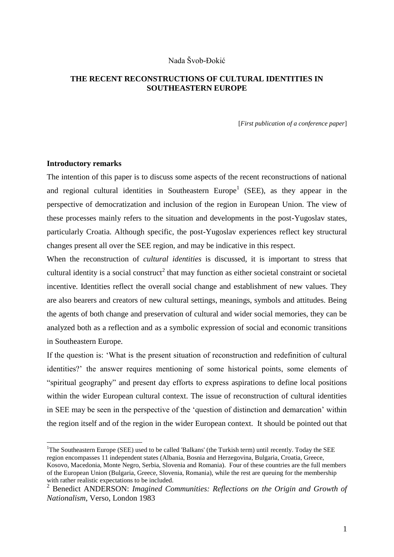## Nada Švob-Đokić

# **THE RECENT RECONSTRUCTIONS OF CULTURAL IDENTITIES IN SOUTHEASTERN EUROPE**

[*First publication of a conference paper*]

## **Introductory remarks**

1

The intention of this paper is to discuss some aspects of the recent reconstructions of national and regional cultural identities in Southeastern  $Europe<sup>1</sup>$  (SEE), as they appear in the perspective of democratization and inclusion of the region in European Union. The view of these processes mainly refers to the situation and developments in the post-Yugoslav states, particularly Croatia. Although specific, the post-Yugoslav experiences reflect key structural changes present all over the SEE region, and may be indicative in this respect.

When the reconstruction of *cultural identities* is discussed, it is important to stress that cultural identity is a social construct<sup>2</sup> that may function as either societal constraint or societal incentive. Identities reflect the overall social change and establishment of new values. They are also bearers and creators of new cultural settings, meanings, symbols and attitudes. Being the agents of both change and preservation of cultural and wider social memories, they can be analyzed both as a reflection and as a symbolic expression of social and economic transitions in Southeastern Europe.

If the question is: "What is the present situation of reconstruction and redefinition of cultural identities?" the answer requires mentioning of some historical points, some elements of "spiritual geography" and present day efforts to express aspirations to define local positions within the wider European cultural context. The issue of reconstruction of cultural identities in SEE may be seen in the perspective of the "question of distinction and demarcation" within the region itself and of the region in the wider European context. It should be pointed out that

<sup>&</sup>lt;sup>1</sup>The Southeastern Europe (SEE) used to be called 'Balkans' (the Turkish term) until recently. Today the SEE region encompasses 11 independent states (Albania, Bosnia and Herzegovina, Bulgaria, Croatia, Greece,

Kosovo, Macedonia, Monte Negro, Serbia, Slovenia and Romania). Four of these countries are the full members of the European Union (Bulgaria, Greece, Slovenia, Romania), while the rest are queuing for the membership with rather realistic expectations to be included.

<sup>2</sup> Benedict ANDERSON: *Imagined Communities: Reflections on the Origin and Growth of Nationalism*, Verso, London 1983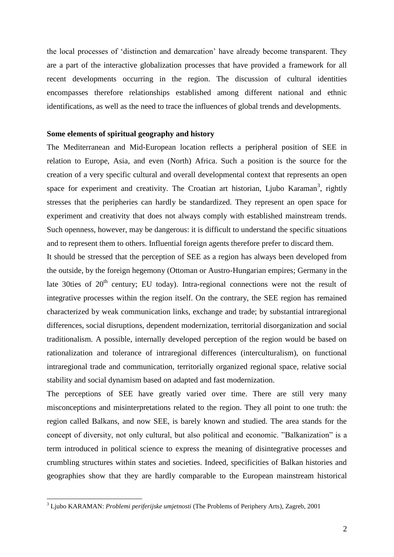the local processes of "distinction and demarcation" have already become transparent. They are a part of the interactive globalization processes that have provided a framework for all recent developments occurring in the region. The discussion of cultural identities encompasses therefore relationships established among different national and ethnic identifications, as well as the need to trace the influences of global trends and developments.

#### **Some elements of spiritual geography and history**

The Mediterranean and Mid-European location reflects a peripheral position of SEE in relation to Europe, Asia, and even (North) Africa. Such a position is the source for the creation of a very specific cultural and overall developmental context that represents an open space for experiment and creativity. The Croatian art historian, Ljubo Karaman<sup>3</sup>, rightly stresses that the peripheries can hardly be standardized. They represent an open space for experiment and creativity that does not always comply with established mainstream trends. Such openness, however, may be dangerous: it is difficult to understand the specific situations and to represent them to others. Influential foreign agents therefore prefer to discard them.

It should be stressed that the perception of SEE as a region has always been developed from the outside, by the foreign hegemony (Ottoman or Austro-Hungarian empires; Germany in the late 30ties of  $20<sup>th</sup>$  century; EU today). Intra-regional connections were not the result of integrative processes within the region itself. On the contrary, the SEE region has remained characterized by weak communication links, exchange and trade; by substantial intraregional differences, social disruptions, dependent modernization, territorial disorganization and social traditionalism. A possible, internally developed perception of the region would be based on rationalization and tolerance of intraregional differences (interculturalism), on functional intraregional trade and communication, territorially organized regional space, relative social stability and social dynamism based on adapted and fast modernization.

The perceptions of SEE have greatly varied over time. There are still very many misconceptions and misinterpretations related to the region. They all point to one truth: the region called Balkans, and now SEE, is barely known and studied. The area stands for the concept of diversity, not only cultural, but also political and economic. "Balkanization" is a term introduced in political science to express the meaning of disintegrative processes and crumbling structures within states and societies. Indeed, specificities of Balkan histories and geographies show that they are hardly comparable to the European mainstream historical

1

<sup>3</sup> Ljubo KARAMAN: *Problemi periferijske umjetnosti* (The Problems of Periphery Arts), Zagreb, 2001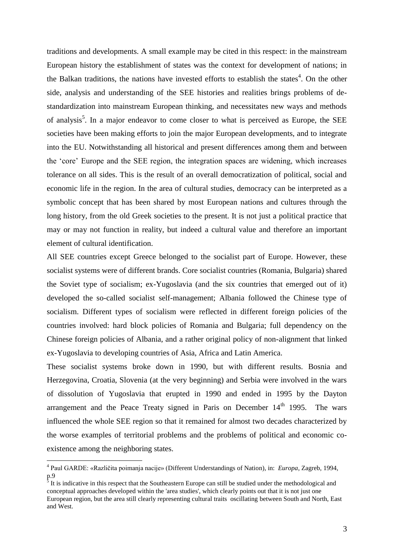traditions and developments. A small example may be cited in this respect: in the mainstream European history the establishment of states was the context for development of nations; in the Balkan traditions, the nations have invested efforts to establish the states<sup>4</sup>. On the other side, analysis and understanding of the SEE histories and realities brings problems of destandardization into mainstream European thinking, and necessitates new ways and methods of analysis<sup>5</sup>. In a major endeavor to come closer to what is perceived as Europe, the SEE societies have been making efforts to join the major European developments, and to integrate into the EU. Notwithstanding all historical and present differences among them and between the "core" Europe and the SEE region, the integration spaces are widening, which increases tolerance on all sides. This is the result of an overall democratization of political, social and economic life in the region. In the area of cultural studies, democracy can be interpreted as a symbolic concept that has been shared by most European nations and cultures through the long history, from the old Greek societies to the present. It is not just a political practice that may or may not function in reality, but indeed a cultural value and therefore an important element of cultural identification.

All SEE countries except Greece belonged to the socialist part of Europe. However, these socialist systems were of different brands. Core socialist countries (Romania, Bulgaria) shared the Soviet type of socialism; ex-Yugoslavia (and the six countries that emerged out of it) developed the so-called socialist self-management; Albania followed the Chinese type of socialism. Different types of socialism were reflected in different foreign policies of the countries involved: hard block policies of Romania and Bulgaria; full dependency on the Chinese foreign policies of Albania, and a rather original policy of non-alignment that linked ex-Yugoslavia to developing countries of Asia, Africa and Latin America.

These socialist systems broke down in 1990, but with different results. Bosnia and Herzegovina, Croatia, Slovenia (at the very beginning) and Serbia were involved in the wars of dissolution of Yugoslavia that erupted in 1990 and ended in 1995 by the Dayton arrangement and the Peace Treaty signed in Paris on December  $14<sup>th</sup>$  1995. The wars influenced the whole SEE region so that it remained for almost two decades characterized by the worse examples of territorial problems and the problems of political and economic coexistence among the neighboring states.

 4 Paul GARDE: «Različita poimanja nacije» (Different Understandings of Nation), in: *Europa*, Zagreb, 1994,  $p.9$ <br> $\frac{5}{11}$ 

It is indicative in this respect that the Southeastern Europe can still be studied under the methodological and conceptual approaches developed within the 'area studies', which clearly points out that it is not just one European region, but the area still clearly representing cultural traits oscillating between South and North, East and West.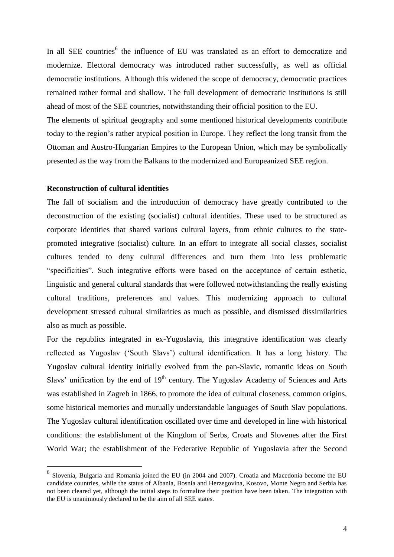In all SEE countries<sup>6</sup> the influence of EU was translated as an effort to democratize and modernize. Electoral democracy was introduced rather successfully, as well as official democratic institutions. Although this widened the scope of democracy, democratic practices remained rather formal and shallow. The full development of democratic institutions is still ahead of most of the SEE countries, notwithstanding their official position to the EU.

The elements of spiritual geography and some mentioned historical developments contribute today to the region"s rather atypical position in Europe. They reflect the long transit from the Ottoman and Austro-Hungarian Empires to the European Union, which may be symbolically presented as the way from the Balkans to the modernized and Europeanized SEE region.

## **Reconstruction of cultural identities**

1

The fall of socialism and the introduction of democracy have greatly contributed to the deconstruction of the existing (socialist) cultural identities. These used to be structured as corporate identities that shared various cultural layers, from ethnic cultures to the statepromoted integrative (socialist) culture. In an effort to integrate all social classes, socialist cultures tended to deny cultural differences and turn them into less problematic "specificities". Such integrative efforts were based on the acceptance of certain esthetic, linguistic and general cultural standards that were followed notwithstanding the really existing cultural traditions, preferences and values. This modernizing approach to cultural development stressed cultural similarities as much as possible, and dismissed dissimilarities also as much as possible.

For the republics integrated in ex-Yugoslavia, this integrative identification was clearly reflected as Yugoslav ("South Slavs") cultural identification. It has a long history. The Yugoslav cultural identity initially evolved from the pan-Slavic, romantic ideas on South Slavs' unification by the end of  $19<sup>th</sup>$  century. The Yugoslav Academy of Sciences and Arts was established in Zagreb in 1866, to promote the idea of cultural closeness, common origins, some historical memories and mutually understandable languages of South Slav populations. The Yugoslav cultural identification oscillated over time and developed in line with historical conditions: the establishment of the Kingdom of Serbs, Croats and Slovenes after the First World War; the establishment of the Federative Republic of Yugoslavia after the Second

<sup>6</sup> Slovenia, Bulgaria and Romania joined the EU (in 2004 and 2007). Croatia and Macedonia become the EU candidate countries, while the status of Albania, Bosnia and Herzegovina, Kosovo, Monte Negro and Serbia has not been cleared yet, although the initial steps to formalize their position have been taken. The integration with the EU is unanimously declared to be the aim of all SEE states.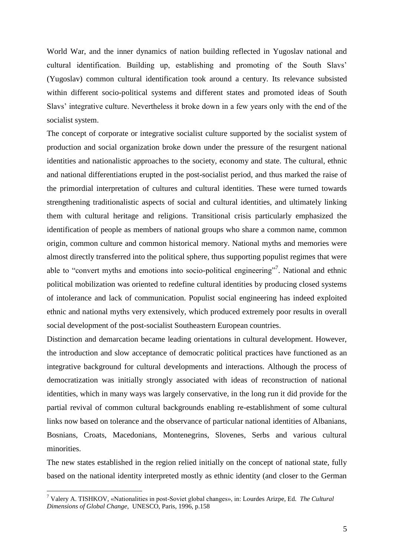World War, and the inner dynamics of nation building reflected in Yugoslav national and cultural identification. Building up, establishing and promoting of the South Slavs" (Yugoslav) common cultural identification took around a century. Its relevance subsisted within different socio-political systems and different states and promoted ideas of South Slavs" integrative culture. Nevertheless it broke down in a few years only with the end of the socialist system.

The concept of corporate or integrative socialist culture supported by the socialist system of production and social organization broke down under the pressure of the resurgent national identities and nationalistic approaches to the society, economy and state. The cultural, ethnic and national differentiations erupted in the post-socialist period, and thus marked the raise of the primordial interpretation of cultures and cultural identities. These were turned towards strengthening traditionalistic aspects of social and cultural identities, and ultimately linking them with cultural heritage and religions. Transitional crisis particularly emphasized the identification of people as members of national groups who share a common name, common origin, common culture and common historical memory. National myths and memories were almost directly transferred into the political sphere, thus supporting populist regimes that were able to "convert myths and emotions into socio-political engineering"<sup>7</sup>. National and ethnic political mobilization was oriented to redefine cultural identities by producing closed systems of intolerance and lack of communication. Populist social engineering has indeed exploited ethnic and national myths very extensively, which produced extremely poor results in overall social development of the post-socialist Southeastern European countries.

Distinction and demarcation became leading orientations in cultural development. However, the introduction and slow acceptance of democratic political practices have functioned as an integrative background for cultural developments and interactions. Although the process of democratization was initially strongly associated with ideas of reconstruction of national identities, which in many ways was largely conservative, in the long run it did provide for the partial revival of common cultural backgrounds enabling re-establishment of some cultural links now based on tolerance and the observance of particular national identities of Albanians, Bosnians, Croats, Macedonians, Montenegrins, Slovenes, Serbs and various cultural minorities.

The new states established in the region relied initially on the concept of national state, fully based on the national identity interpreted mostly as ethnic identity (and closer to the German

<u>.</u>

<sup>7</sup> Valery A. TISHKOV, «Nationalities in post-Soviet global changes», in: Lourdes Arizpe, Ed. *The Cultural Dimensions of Global Change*, UNESCO, Paris, 1996, p.158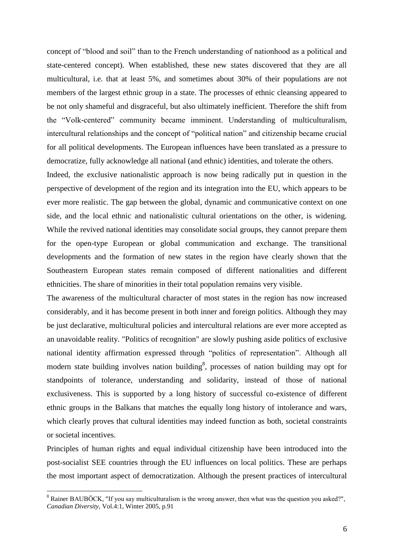concept of "blood and soil" than to the French understanding of nationhood as a political and state-centered concept). When established, these new states discovered that they are all multicultural, i.e. that at least 5%, and sometimes about 30% of their populations are not members of the largest ethnic group in a state. The processes of ethnic cleansing appeared to be not only shameful and disgraceful, but also ultimately inefficient. Therefore the shift from the "Volk-centered" community became imminent. Understanding of multiculturalism, intercultural relationships and the concept of "political nation" and citizenship became crucial for all political developments. The European influences have been translated as a pressure to democratize, fully acknowledge all national (and ethnic) identities, and tolerate the others.

Indeed, the exclusive nationalistic approach is now being radically put in question in the perspective of development of the region and its integration into the EU, which appears to be ever more realistic. The gap between the global, dynamic and communicative context on one side, and the local ethnic and nationalistic cultural orientations on the other, is widening. While the revived national identities may consolidate social groups, they cannot prepare them for the open-type European or global communication and exchange. The transitional developments and the formation of new states in the region have clearly shown that the Southeastern European states remain composed of different nationalities and different ethnicities. The share of minorities in their total population remains very visible.

The awareness of the multicultural character of most states in the region has now increased considerably, and it has become present in both inner and foreign politics. Although they may be just declarative, multicultural policies and intercultural relations are ever more accepted as an unavoidable reality. "Politics of recognition" are slowly pushing aside politics of exclusive national identity affirmation expressed through "politics of representation". Although all modern state building involves nation building<sup>8</sup>, processes of nation building may opt for standpoints of tolerance, understanding and solidarity, instead of those of national exclusiveness. This is supported by a long history of successful co-existence of different ethnic groups in the Balkans that matches the equally long history of intolerance and wars, which clearly proves that cultural identities may indeed function as both, societal constraints or societal incentives.

Principles of human rights and equal individual citizenship have been introduced into the post-socialist SEE countries through the EU influences on local politics. These are perhaps the most important aspect of democratization. Although the present practices of intercultural

<u>.</u>

<sup>&</sup>lt;sup>8</sup> Rainer BAUBÖCK, "If you say multiculturalism is the wrong answer, then what was the question you asked?", *Canadian Diversity*, Vol.4:1, Winter 2005, p.91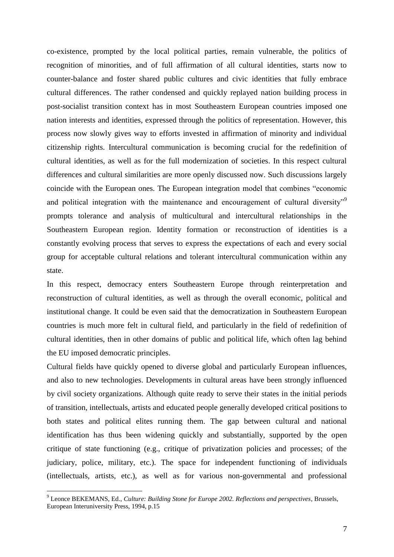co-existence, prompted by the local political parties, remain vulnerable, the politics of recognition of minorities, and of full affirmation of all cultural identities, starts now to counter-balance and foster shared public cultures and civic identities that fully embrace cultural differences. The rather condensed and quickly replayed nation building process in post-socialist transition context has in most Southeastern European countries imposed one nation interests and identities, expressed through the politics of representation. However, this process now slowly gives way to efforts invested in affirmation of minority and individual citizenship rights. Intercultural communication is becoming crucial for the redefinition of cultural identities, as well as for the full modernization of societies. In this respect cultural differences and cultural similarities are more openly discussed now. Such discussions largely coincide with the European ones. The European integration model that combines "economic and political integration with the maintenance and encouragement of cultural diversity"<sup>9</sup> prompts tolerance and analysis of multicultural and intercultural relationships in the Southeastern European region. Identity formation or reconstruction of identities is a constantly evolving process that serves to express the expectations of each and every social group for acceptable cultural relations and tolerant intercultural communication within any state.

In this respect, democracy enters Southeastern Europe through reinterpretation and reconstruction of cultural identities, as well as through the overall economic, political and institutional change. It could be even said that the democratization in Southeastern European countries is much more felt in cultural field, and particularly in the field of redefinition of cultural identities, then in other domains of public and political life, which often lag behind the EU imposed democratic principles.

Cultural fields have quickly opened to diverse global and particularly European influences, and also to new technologies. Developments in cultural areas have been strongly influenced by civil society organizations. Although quite ready to serve their states in the initial periods of transition, intellectuals, artists and educated people generally developed critical positions to both states and political elites running them. The gap between cultural and national identification has thus been widening quickly and substantially, supported by the open critique of state functioning (e.g., critique of privatization policies and processes; of the judiciary, police, military, etc.). The space for independent functioning of individuals (intellectuals, artists, etc.), as well as for various non-governmental and professional

<u>.</u>

<sup>9</sup> Leonce BEKEMANS, Ed., *Culture: Building Stone for Europe 2002. Reflections and perspectives*, Brussels, European Interuniversity Press, 1994, p.15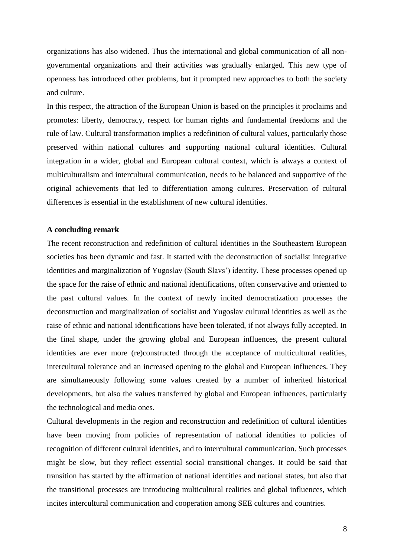organizations has also widened. Thus the international and global communication of all nongovernmental organizations and their activities was gradually enlarged. This new type of openness has introduced other problems, but it prompted new approaches to both the society and culture.

In this respect, the attraction of the European Union is based on the principles it proclaims and promotes: liberty, democracy, respect for human rights and fundamental freedoms and the rule of law. Cultural transformation implies a redefinition of cultural values, particularly those preserved within national cultures and supporting national cultural identities. Cultural integration in a wider, global and European cultural context, which is always a context of multiculturalism and intercultural communication, needs to be balanced and supportive of the original achievements that led to differentiation among cultures. Preservation of cultural differences is essential in the establishment of new cultural identities.

## **A concluding remark**

The recent reconstruction and redefinition of cultural identities in the Southeastern European societies has been dynamic and fast. It started with the deconstruction of socialist integrative identities and marginalization of Yugoslav (South Slavs') identity. These processes opened up the space for the raise of ethnic and national identifications, often conservative and oriented to the past cultural values. In the context of newly incited democratization processes the deconstruction and marginalization of socialist and Yugoslav cultural identities as well as the raise of ethnic and national identifications have been tolerated, if not always fully accepted. In the final shape, under the growing global and European influences, the present cultural identities are ever more (re)constructed through the acceptance of multicultural realities, intercultural tolerance and an increased opening to the global and European influences. They are simultaneously following some values created by a number of inherited historical developments, but also the values transferred by global and European influences, particularly the technological and media ones.

Cultural developments in the region and reconstruction and redefinition of cultural identities have been moving from policies of representation of national identities to policies of recognition of different cultural identities, and to intercultural communication. Such processes might be slow, but they reflect essential social transitional changes. It could be said that transition has started by the affirmation of national identities and national states, but also that the transitional processes are introducing multicultural realities and global influences, which incites intercultural communication and cooperation among SEE cultures and countries.